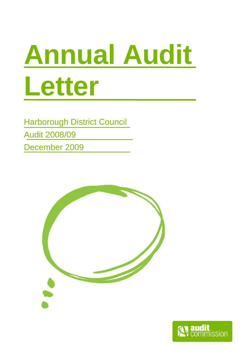# **Annual Audit Letter**

Harborough District Council Audit 2008/09

December 2009



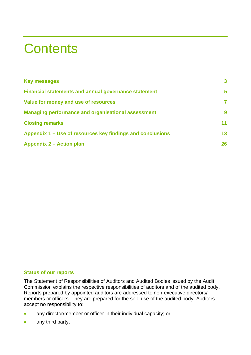# **Contents**

| <b>Key messages</b>                                         | $\overline{\mathbf{3}}$ |
|-------------------------------------------------------------|-------------------------|
| <b>Financial statements and annual governance statement</b> | 5                       |
| Value for money and use of resources                        | 7                       |
| <b>Managing performance and organisational assessment</b>   | 9                       |
| <b>Closing remarks</b>                                      | 11                      |
| Appendix 1 – Use of resources key findings and conclusions  | 13                      |
| <b>Appendix 2 – Action plan</b>                             | 26                      |

### **Status of our reports**

The Statement of Responsibilities of Auditors and Audited Bodies issued by the Audit Commission explains the respective responsibilities of auditors and of the audited body. Reports prepared by appointed auditors are addressed to non-executive directors/ members or officers. They are prepared for the sole use of the audited body. Auditors accept no responsibility to:

- any director/member or officer in their individual capacity; or
- any third party.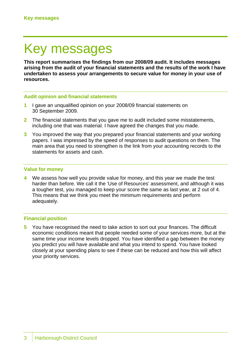# Key messages

**This report summarises the findings from our 2008/09 audit. It includes messages arising from the audit of your financial statements and the results of the work I have undertaken to assess your arrangements to secure value for money in your use of resources.** 

### **Audit opinion and financial statements**

- **1** I gave an unqualified opinion on your 2008/09 financial statements on 30 September 2009.
- **2** The financial statements that you gave me to audit included some misstatements, including one that was material. I have agreed the changes that you made.
- **3** You improved the way that you prepared your financial statements and your working papers. I was impressed by the speed of responses to audit questions on them. The main area that you need to strengthen is the link from your accounting records to the statements for assets and cash.

#### **Value for money**

**4** We assess how well you provide value for money, and this year we made the test harder than before. We call it the 'Use of Resources' assessment, and although it was a tougher test, you managed to keep your score the same as last year, at 2 out of 4. This means that we think you meet the minimum requirements and perform adequately.

#### **Financial position**

**5** You have recognised the need to take action to sort out your finances. The difficult economic conditions meant that people needed some of your services more, but at the same time your income levels dropped. You have identified a gap between the money you predict you will have available and what you intend to spend. You have looked closely at your spending plans to see if these can be reduced and how this will affect your priority services.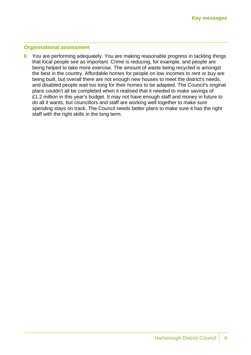### **Organisational assessment**

**6** You are performing adequately. You are making reasonable progress in tackling things that local people see as important. Crime is reducing, for example, and people are being helped to take more exercise. The amount of waste being recycled is amongst the best in the country. Affordable homes for people on low incomes to rent or buy are being built, but overall there are not enough new houses to meet the district's needs, and disabled people wait too long for their homes to be adapted. The Council's original plans couldn't all be completed when it realised that it needed to make savings of £1.2 million in this year's budget. It may not have enough staff and money in future to do all it wants, but councillors and staff are working well together to make sure spending stays on track. The Council needs better plans to make sure it has the right staff with the right skills in the long term.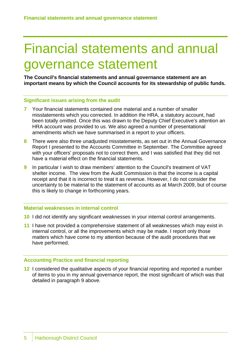# Financial statements and annual governance statement

**The Council's financial statements and annual governance statement are an important means by which the Council accounts for its stewardship of public funds.** 

### **Significant issues arising from the audit**

- **7** Your financial statements contained one material and a number of smaller misstatements which you corrected. In addition the HRA, a statutory account, had been totally omitted. Once this was drawn to the Deputy Chief Executive's attention an HRA account was provided to us. We also agreed a number of presentational amendments which we have summarised in a report to your officers.
- **8** There were also three unadjusted misstatements, as set out in the Annual Governance Report I presented to the Accounts Committee in September. The Committee agreed with your officers' proposals not to correct them, and I was satisfied that they did not have a material effect on the financial statements.
- **9** In particular I wish to draw members' attention to the Council's treatment of VAT shelter income. The view from the Audit Commission is that the income is a capital receipt and that it is incorrect to treat it as revenue. However, I do not consider the uncertainty to be material to the statement of accounts as at March 2009, but of course this is likely to change in forthcoming years.

#### **Material weaknesses in internal control**

- **10** I did not identify any significant weaknesses in your internal control arrangements.
- **11** I have not provided a comprehensive statement of all weaknesses which may exist in internal control, or all the improvements which may be made. I report only those matters which have come to my attention because of the audit procedures that we have performed.

### **Accounting Practice and financial reporting**

**12** I considered the qualitative aspects of your financial reporting and reported a number of items to you in my annual governance report, the most significant of which was that detailed in paragraph 9 above.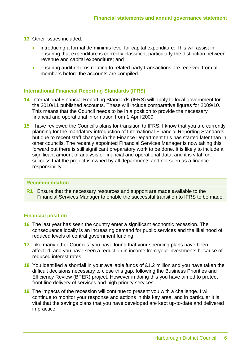- **13** Other issues included:
	- introducing a formal de-minimis level for capital expenditure. This will assist in ensuring that expenditure is correctly classified, particularly the distinction between revenue and capital expenditure; and
	- ensuring audit returns relating to related party transactions are received from all members before the accounts are compiled.

### **International Financial Reporting Standards (IFRS)**

- **14** International Financial Reporting Standards (IFRS) will apply to local government for the 2010/11 published accounts. These will include comparative figures for 2009/10. This means that the Council needs to be in a position to provide the necessary financial and operational information from 1 April 2009.
- **15** I have reviewed the Council's plans for transition to IFRS. I know that you are currently planning for the mandatory introduction of International Financial Reporting Standards but due to recent staff changes in the Finance Department this has started later than in other councils. The recently appointed Financial Services Manager is now taking this forward but there is still significant preparatory work to be done. It is likely to include a significant amount of analysis of financial and operational data, and it is vital for success that the project is owned by all departments and not seen as a finance responsibility.

#### **Recommendation**

**R1** Ensure that the necessary resources and support are made available to the Financial Services Manager to enable the successful transition to IFRS to be made.

#### **Financial position**

- **16** The last year has seen the country enter a significant economic recession. The consequence locally is an increasing demand for public services and the likelihood of reduced levels of central government funding.
- **17** Like many other Councils, you have found that your spending plans have been affected, and you have seen a reduction in income from your investments because of reduced interest rates.
- **18** You identified a shortfall in your available funds of £1.2 million and you have taken the difficult decisions necessary to close this gap, following the Business Priorities and Efficiency Review (BPER) project. However in doing this you have aimed to protect front line delivery of services and high priority services.
- **19** The impacts of the recession will continue to present you with a challenge. I will continue to monitor your response and actions in this key area, and in particular it is vital that the savings plans that you have developed are kept up-to-date and delivered in practice.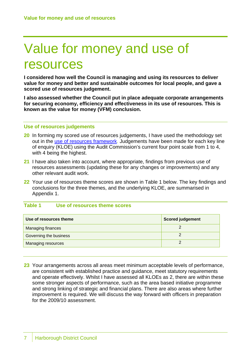# Value for money and use of resources

**I considered how well the Council is managing and using its resources to deliver value for money and better and sustainable outcomes for local people, and gave a scored use of resources judgement.** 

**I also assessed whether the Council put in place adequate corporate arrangements for securing economy, efficiency and effectiveness in its use of resources. This is known as the value for money (VFM) conclusion.** 

### **Use of resources judgements**

- **20** In forming my scored use of resources judgements, I have used the methodology set out in the use of resources framework. Judgements have been made for each key line of enquiry (KLOE) using the Audit Commission's current four point scale from 1 to 4, with 4 being the highest.
- **21** I have also taken into account, where appropriate, findings from previous use of resources assessments (updating these for any changes or improvements) and any other relevant audit work.
- **22** Your use of resources theme scores are shown in Table 1 below. The key findings and conclusions for the three themes, and the underlying KLOE, are summarised in Appendix 1.

# **Table 1 Use of resources theme scores**

| Use of resources theme    | <b>Scored judgement</b> |
|---------------------------|-------------------------|
| <b>Managing finances</b>  |                         |
| Governing the business    |                         |
| <b>Managing resources</b> |                         |

**23** Your arrangements across all areas meet minimum acceptable levels of performance, are consistent with established practice and guidance, meet statutory requirements and operate effectively. Whilst I have assessed all KLOEs as 2, there are within these some stronger aspects of performance, such as the area based initiative programme and strong linking of strategic and financial plans. There are also areas where further improvement is required. We will discuss the way forward with officers in preparation for the 2009/10 assessment.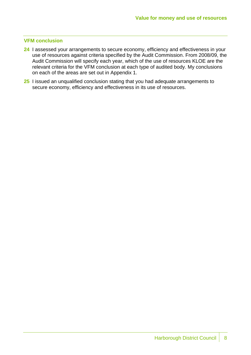### **VFM conclusion**

- **24** I assessed your arrangements to secure economy, efficiency and effectiveness in your use of resources against criteria specified by the Audit Commission. From 2008/09, the Audit Commission will specify each year, which of the use of resources KLOE are the relevant criteria for the VFM conclusion at each type of audited body. My conclusions on each of the areas are set out in Appendix 1.
- **25** I issued an unqualified conclusion stating that you had adequate arrangements to secure economy, efficiency and effectiveness in its use of resources.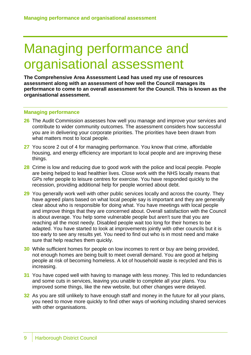# Managing performance and organisational assessment

**The Comprehensive Area Assessment Lead has used my use of resources assessment along with an assessment of how well the Council manages its performance to come to an overall assessment for the Council. This is known as the organisational assessment.** 

#### **Managing performance**

- **26** The Audit Commission assesses how well you manage and improve your services and contribute to wider community outcomes. The assessment considers how successful you are in delivering your corporate priorities. The priorities have been drawn from what matters most to local people.
- **27** You score 2 out of 4 for managing performance. You know that crime, affordable housing, and energy efficiency are important to local people and are improving these things.
- **28** Crime is low and reducing due to good work with the police and local people. People are being helped to lead healthier lives. Close work with the NHS locally means that GPs refer people to leisure centres for exercise. You have responded quickly to the recession, providing additional help for people worried about debt.
- **29** You generally work well with other public services locally and across the county. They have agreed plans based on what local people say is important and they are generally clear about who is responsible for doing what. You have meetings with local people and improve things that they are concerned about. Overall satisfaction with the Council is about average. You help some vulnerable people but aren't sure that you are reaching all the most needy. Disabled people wait too long for their homes to be adapted. You have started to look at improvements jointly with other councils but it is too early to see any results yet. You need to find out who is in most need and make sure that help reaches them quickly.
- **30** While sufficient homes for people on low incomes to rent or buy are being provided, not enough homes are being built to meet overall demand. You are good at helping people at risk of becoming homeless. A lot of household waste is recycled and this is increasing.
- **31** You have coped well with having to manage with less money. This led to redundancies and some cuts in services, leaving you unable to complete all your plans. You improved some things, like the new website, but other changes were delayed.
- **32** As you are still unlikely to have enough staff and money in the future for all your plans, you need to move more quickly to find other ways of working including shared services with other organisations.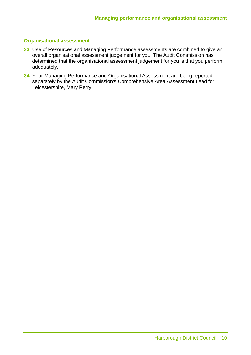### **Organisational assessment**

- **33** Use of Resources and Managing Performance assessments are combined to give an overall organisational assessment judgement for you. The Audit Commission has determined that the organisational assessment judgement for you is that you perform adequately.
- **34** Your Managing Performance and Organisational Assessment are being reported separately by the Audit Commission's Comprehensive Area Assessment Lead for Leicestershire, Mary Perry.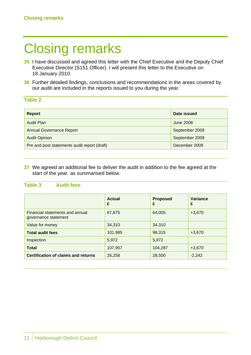# Closing remarks

- **35** I have discussed and agreed this letter with the Chief Executive and the Deputy Chief Executive Director (S151 Officer). I will present this letter to the Executive on 18 January 2010.
- **36** Further detailed findings, conclusions and recommendations in the areas covered by our audit are included in the reports issued to you during the year.

## **Table 2**

| <b>Report</b>                                | Date issued    |
|----------------------------------------------|----------------|
| Audit Plan                                   | June 2008      |
| <b>Annual Governance Report</b>              | September 2009 |
| <b>Audit Opinion</b>                         | September 2009 |
| Pre and post statements audit report (draft) | December 2009  |

**37** We agreed an additional fee to deliver the audit in addition to the fee agreed at the start of the year. as summarised below.

# **Table 3 Audit fees**

|                                                         | <b>Actual</b><br>£ | <b>Proposed</b><br>£ | <b>Variance</b><br>£ |
|---------------------------------------------------------|--------------------|----------------------|----------------------|
| Financial statements and annual<br>governance statement | 67,675             | 64,005               | $+3,670$             |
| Value for money                                         | 34,310             | 34,310               |                      |
| <b>Total audit fees</b>                                 | 101,985            | 98,315               | $+3,670$             |
| Inspection                                              | 5,972              | 5,972                |                      |
| <b>Total</b>                                            | 107,957            | 104,287              | $+3,670$             |
| <b>Certification of claims and returns</b>              | 26,258             | 28,500               | $-2,242$             |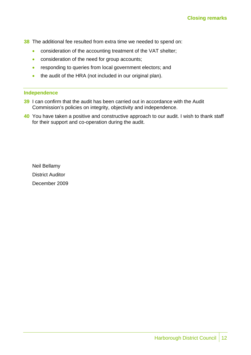- **38** The additional fee resulted from extra time we needed to spend on:
	- consideration of the accounting treatment of the VAT shelter;
	- consideration of the need for group accounts;
	- responding to queries from local government electors; and
	- the audit of the HRA (not included in our original plan).

#### **Independence**

- **39** I can confirm that the audit has been carried out in accordance with the Audit Commission's policies on integrity, objectivity and independence.
- **40** You have taken a positive and constructive approach to our audit. I wish to thank staff for their support and co-operation during the audit.

Neil Bellamy District Auditor December 2009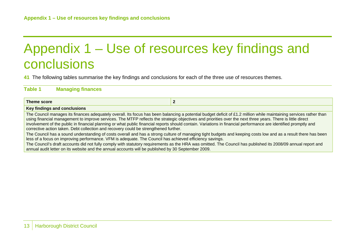# Appendix 1 – Use of resources key findings and conclusions

**41** The following tables summarise the key findings and conclusions for each of the three use of resources themes.

# **Table 1 Managing finances**

| Theme score                                                                                                                                                                                                                                                                                                                                                                                                                                                                                                                                                                                    |                                                                                                                                                               |  |
|------------------------------------------------------------------------------------------------------------------------------------------------------------------------------------------------------------------------------------------------------------------------------------------------------------------------------------------------------------------------------------------------------------------------------------------------------------------------------------------------------------------------------------------------------------------------------------------------|---------------------------------------------------------------------------------------------------------------------------------------------------------------|--|
| Key findings and conclusions                                                                                                                                                                                                                                                                                                                                                                                                                                                                                                                                                                   |                                                                                                                                                               |  |
| The Council manages its finances adequately overall. Its focus has been balancing a potential budget deficit of £1.2 million while maintaining services rather than<br>using financial management to improve services. The MTFP reflects the strategic objectives and priorities over the next three years. There is little direct<br>involvement of the public in financial planning or what public financial reports should contain. Variations in financial performance are identified promptly and<br>corrective action taken. Debt collection and recovery could be strengthened further. |                                                                                                                                                               |  |
| The Council has a sound understanding of costs overall and has a strong culture of managing tight budgets and keeping costs low and as a result there has been<br>less of a focus on improving performance. VFM is adequate. The Council has achieved efficiency savings.                                                                                                                                                                                                                                                                                                                      |                                                                                                                                                               |  |
| annual audit letter on its website and the annual accounts will be published by 30 September 2009.                                                                                                                                                                                                                                                                                                                                                                                                                                                                                             | The Council's draft accounts did not fully comply with statutory requirements as the HRA was omitted. The Council has published its 2008/09 annual report and |  |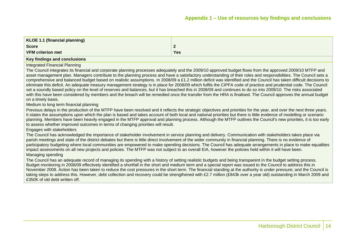| KLOE 1.1 (financial planning) |     |
|-------------------------------|-----|
| <b>Score</b>                  |     |
| VFM criterion met             | Yes |
|                               |     |

Integrated Financial Planning

The Council integrates its financial and corporate planning processes adequately and the 2009/10 approved budget flows from the approved 2009/10 MTFP and asset management plan. Managers contribute to the planning process and have a satisfactory understanding of their roles and responsibilities. The Council sets a comprehensive and balanced budget based on realistic assumptions. In 2008/09 a £1.2 million deficit was identified and the Council has taken difficult decisions to eliminate this deficit. An adequate treasury management strategy is in place for 2008/09 which fulfils the CIPFA code of practice and prudential code. The Council set a soundly based policy on the level of reserves and balances, but it has breached this in 2008/09 and continues to do so into 2009/10. The risks associated with this have been considered by members and the breach will be remedied once the transfer from the HRA is finalised. The Council approves the annual budget on a timely basis.

Medium to long term financial planning

Previous delays in the production of the MTFP have been resolved and it reflects the strategic objectives and priorities for the year, and over the next three years. It states the assumptions upon which the plan is based and takes account of both local and national priorities but there is little evidence of modelling or scenario planning. Members have been heavily engaged in the MTFP approval and planning process. Although the MTFP outlines the Council's new priorities, it is too early to assess whether improved outcomes in terms of changing priorities will result.

Engages with stakeholders

The Council has acknowledged the importance of stakeholder involvement in service planning and delivery. Communication with stakeholders takes place via parish meetings and state of the district debates but there is little direct involvement of the wider community in financial planning. There is no evidence of participatory budgeting where local communities are empowered to make spending decisions. The Council has adequate arrangements in place to make equalities impact assessments on all new projects and policies. The MTFP was not subject to an overall EIA, however the policies held within it will have been.

#### Managing spending

The Council has an adequate record of managing its spending with a history of setting realistic budgets and being transparent in the budget setting process. Budget monitoring in 2008/09 effectively identified a shortfall in the short and medium term and a special report was issued to the Council to address this in November 2008. Action has been taken to reduce the cost pressures in the short term. The financial standing at the authority is under pressure; and the Council is taking steps to address this. However, debt collection and recovery could be strengthened with £2.7 million (£843k over a year old) outstanding in March 2009 and £350K of old debt written off.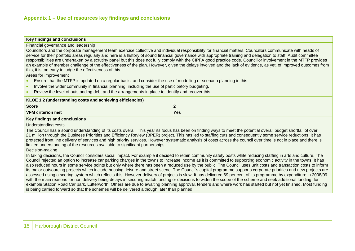Financial governance and leadership

Councillors and the corporate management team exercise collective and individual responsibility for financial matters. Councillors communicate with heads of service for their portfolio areas regularly and here is a history of sound financial governance with appropriate training and delegation to staff. Audit committee responsibilities are undertaken by a scrutiny panel but this does not fully comply with the CIPFA good practice code. Councillor involvement in the MTFP provides an example of member challenge of the effectiveness of the plan. However, given the delays involved and the lack of evidence, as yet, of improved outcomes from this, it is too early to judge the effectiveness of this.

Areas for improvement

- •Ensure that the MTFP is updated on a regular basis, and consider the use of modelling or scenario planning in this.
- •Involve the wider community in financial planning, including the use of participatory budgeting.
- •Review the level of outstanding debt and the arrangements in place to identify and recover this.

| KLOE 1.2 (understanding costs and achieving efficiencies) |              |
|-----------------------------------------------------------|--------------|
| Score                                                     | $\mathbf{2}$ |
| <b>VFM criterion met</b>                                  | Yes          |
| Key findings and conclusions                              |              |

Understanding costs

The Council has a sound understanding of its costs overall. This year its focus has been on finding ways to meet the potential overall budget shortfall of over £1 million through the Business Priorities and Efficiency Review (BPER) project. This has led to staffing cuts and consequently some service reductions. It has protected front line delivery of services and high priority services. However systematic analysis of costs across the council over time is not in place and there is limited understanding of the resources available to significant partnerships.

Decision-making

In taking decisions, the Council considers social impact. For example it decided to retain community safety posts while reducing staffing in arts and culture. The Council rejected an option to increase car parking charges in the towns to increase income as it is committed to supporting economic activity in the towns. It has also reduced hours in some service points but only where there has been a reduced use by the public. The Council uses unit costs and transaction costs to inform its major outsourcing projects which include housing, leisure and street scene. The Council's capital programme supports corporate priorities and new projects are assessed using a scoring system which reflects this. However delivery of projects is slow. It has delivered 69 per cent of its programme by expenditure in 2008/09 with the main reasons for non delivery being delays in securing match funding or decisions to widen the scope of the scheme and seek additional funding, for example Station Road Car park, Lutterworth. Others are due to awaiting planning approval, tenders and where work has started but not yet finished. Most funding is being carried forward so that the schemes will be delivered although later than planned.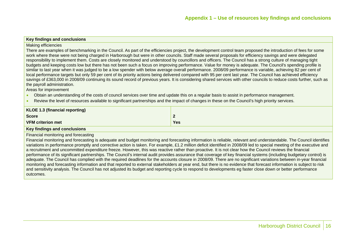#### Making efficiencies

There are examples of benchmarking in the Council. As part of the efficiencies project, the development control team proposed the introduction of fees for some work where these were not being charged in Harborough but were in other councils. Staff made several proposals for efficiency savings and were delegated responsibility to implement them. Costs are closely monitored and understood by councillors and officers. The Council has a strong culture of managing tight budgets and keeping costs low but there has not been such a focus on improving performance. Value for money is adequate. The Council's spending profile is similar to last year when it was judged to be a low spender with below average overall performance. 2008/09 performance is variable, achieving 82 per cent of local performance targets but only 59 per cent of its priority actions being delivered compared with 95 per cent last year. The Council has achieved efficiency savings of £363,000 in 2008/09 continuing its sound record of previous years. It is considering shared services with other councils to reduce costs further, such as the payroll administration.

Areas for improvement

- •Obtain an understanding of the costs of council services over time and update this on a regular basis to assist in performance management.
- •Review the level of resources available to significant partnerships and the impact of changes in these on the Council's high priority services.

| KLOE 1.3 (financial reporting) |     |
|--------------------------------|-----|
| <b>Score</b>                   | 2   |
| <b>VFM criterion met</b>       | Yes |
| Key findings and conclusions   |     |

Financial monitoring and forecasting

Financial monitoring and forecasting is adequate and budget monitoring and forecasting information is reliable, relevant and understandable. The Council identifies variations in performance promptly and corrective action is taken. For example, £1.2 million deficit identified in 2008/09 led to special meeting of the executive and a recruitment and uncommitted expenditure freeze. However, this was reactive rather than proactive. It is not clear how the Council reviews the financial performance of its significant partnerships. The Council's internal audit provides assurance that coverage of key financial systems (including budgetary control) is adequate. The Council has complied with the required deadlines for the accounts closure in 2008/09. There are no significant variations between in-year financial monitoring and forecasting information and that reported to external stakeholders at year end, but there is no evidence that forecast information is subject to risk and sensitivity analysis. The Council has not adjusted its budget and reporting cycle to respond to developments eg faster close down or better performance outcomes.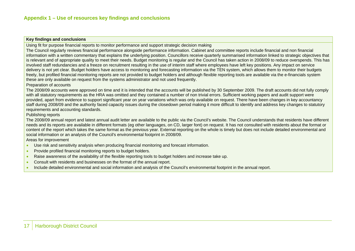Using fit for purpose financial reports to monitor performance and support strategic decision making

The Council regularly reviews financial performance alongside performance information. Cabinet and committee reports include financial and non financial information with a written commentary that explains the underlying position. Councillors receive quarterly summarised information linked to strategic objectives that is relevant and of appropriate quality to meet their needs. Budget monitoring is regular and the Council has taken action in 2008/09 to reduce overspends. This has involved staff redundancies and a freeze on recruitment resulting in the use of interim staff where employees have left key positions. Any impact on service delivery is not yet clear. Budget holders have access to monitoring and forecasting information via the TEN system, which allows them to monitor their budgets freely, but profiled financial monitoring reports are not provided to budget holders and although flexible reporting tools are available via the e-financials system these are only available on request from the systems administrator and not used frequently.

#### Preparation of accounts

The 2008/09 accounts were approved on time and it is intended that the accounts will be published by 30 September 2009. The draft accounts did not fully comply with all statutory requirements as the HRA was omitted and they contained a number of non trivial errors. Sufficient working papers and audit support were provided, apart from evidence to support significant year on year variations which was only available on request. There have been changes in key accountancy staff during 2008/09 and the authority faced capacity issues during the closedown period making it more difficult to identify and address key changes to statutory requirements and accounting standards.

#### Publishing reports

The 2008/09 annual report and latest annual audit letter are available to the public via the Council's website. The Council understands that residents have different needs and its reports are available in different formats (eg other languages, on CD, larger font) on request. It has not consulted with residents about the format or content of the report which takes the same format as the previous year. External reporting on the whole is timely but does not include detailed environmental and social information or an analysis of the Council's environmental footprint in 2008/09.

Areas for improvement

- •Use risk and sensitivity analysis when producing financial monitoring and forecast information.
- •Provide profiled financial monitoring reports to budget holders.
- •Raise awareness of the availability of the flexible reporting tools to budget holders and increase take up.
- •Consult with residents and businesses on the format of the annual report.
- •Include detailed environmental and social information and analysis of the Council's environmental footprint in the annual report.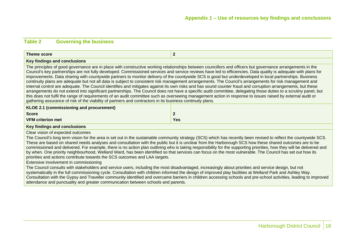# **Table 2 Governing the business**

| Theme score                                                                                                                                                                                                                                                                                                                                                                                                                                                                                                                                                                                                                                                                                                                                                                                                                                                                                                                                                                                                                                                                                                                                                                                                                                                            | $\overline{2}$ |  |
|------------------------------------------------------------------------------------------------------------------------------------------------------------------------------------------------------------------------------------------------------------------------------------------------------------------------------------------------------------------------------------------------------------------------------------------------------------------------------------------------------------------------------------------------------------------------------------------------------------------------------------------------------------------------------------------------------------------------------------------------------------------------------------------------------------------------------------------------------------------------------------------------------------------------------------------------------------------------------------------------------------------------------------------------------------------------------------------------------------------------------------------------------------------------------------------------------------------------------------------------------------------------|----------------|--|
| Key findings and conclusions                                                                                                                                                                                                                                                                                                                                                                                                                                                                                                                                                                                                                                                                                                                                                                                                                                                                                                                                                                                                                                                                                                                                                                                                                                           |                |  |
| The principles of good governance are in place with constructive working relationships between councillors and officers but governance arrangements in the<br>Council's key partnerships are not fully developed. Commissioned services and service reviews have led to efficiencies. Data quality is adequate with plans for<br>improvements. Data sharing with countywide partners to monitor delivery of the countywide SCS is good but underdeveloped in local partnerships. Business<br>continuity plans are adequate but not all data is subject to consistent risk management arrangements. The Council's arrangements for risk management and<br>internal control are adequate. The Council identifies and mitigates against its own risks and has sound counter fraud and corruption arrangements, but these<br>arrangements do not extend into significant partnerships. The Council does not have a specific audit committee, delegating those duties to a scrutiny panel, but<br>this does not fulfil the range of requirements of an audit committee such as overseeing management action in response to issues raised by external audit or<br>gathering assurance of risk of the viability of partners and contractors in its business continuity plans. |                |  |
| KLOE 2.1 (commissioning and procurement)                                                                                                                                                                                                                                                                                                                                                                                                                                                                                                                                                                                                                                                                                                                                                                                                                                                                                                                                                                                                                                                                                                                                                                                                                               |                |  |
| <b>Score</b>                                                                                                                                                                                                                                                                                                                                                                                                                                                                                                                                                                                                                                                                                                                                                                                                                                                                                                                                                                                                                                                                                                                                                                                                                                                           | 2              |  |
| <b>VFM criterion met</b>                                                                                                                                                                                                                                                                                                                                                                                                                                                                                                                                                                                                                                                                                                                                                                                                                                                                                                                                                                                                                                                                                                                                                                                                                                               | <b>Yes</b>     |  |
| Key findings and conclusions                                                                                                                                                                                                                                                                                                                                                                                                                                                                                                                                                                                                                                                                                                                                                                                                                                                                                                                                                                                                                                                                                                                                                                                                                                           |                |  |
| Clear vision of expected outcomes<br>The Council's long term vision for the area is set out in the sustainable community strategy (SCS) which has recently been revised to reflect the countywide SCS.<br>These are based on shared needs analyses and consultation with the public but it is unclear from the Harborough SCS how these shared outcomes are to be<br>commissioned and delivered. For example, there is no action plan outlining who is taking responsibility for the supporting priorities, how they will be delivered and<br>by when. One priority neighbourhood, Welland Ward, has been identified so that services can focus on the most vulnerable. The Council has set out how its<br>priorities and actions contribute towards the SCS outcomes and LAA targets.<br>Extensive involvement in commissioning<br>The Council consults with stakeholders and service users, including the most disadvantaged, increasingly about priorities and service design, but not                                                                                                                                                                                                                                                                              |                |  |
| systematically in the full commissioning cycle. Consultation with children informed the design of improved play facilities at Welland Park and Ashley Way.<br>Consultation with the Gypsy and Traveller community identified and overcame barriers in children accessing schools and pre-school activities, leading to improved<br>attendance and punctuality and greater communication between schools and parents.                                                                                                                                                                                                                                                                                                                                                                                                                                                                                                                                                                                                                                                                                                                                                                                                                                                   |                |  |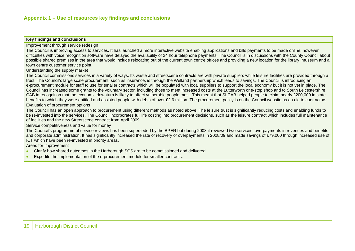Improvement through service redesign

The Council is improving access to services. It has launched a more interactive website enabling applications and bills payments to be made online, however difficulties with voice recognition software have delayed the availability of 24 hour telephone payments. The Council is in discussions with the County Council about possible shared premises in the area that would include relocating out of the current town centre offices and providing a new location for the library, museum and a town centre customer service point.

Understanding the supply market

The Council commissions services in a variety of ways. Its waste and streetscene contracts are with private suppliers while leisure facilities are provided through a trust. The Council's large scale procurement, such as insurance, is through the Welland partnership which leads to savings. The Council is introducing an e-procurement module for staff to use for smaller contracts which will be populated with local suppliers to support the local economy but it is not yet in place. The Council has increased some grants to the voluntary sector, including those to meet increased costs at the Lutterworth one-stop shop and to South Leicestershire CAB in recognition that the economic downturn is likely to affect vulnerable people most. This meant that SLCAB helped people to claim nearly £200,000 in state benefits to which they were entitled and assisted people with debts of over £2.6 million. The procurement policy is on the Council website as an aid to contractors. Evaluation of procurement options

The Council has an open approach to procurement using different methods as noted above. The leisure trust is significantly reducing costs and enabling funds to be re-invested into the services. The Council incorporates full life costing into procurement decisions, such as the leisure contract which includes full maintenance of facilities and the new Streetscene contract from April 2009.

Service competitiveness and value for money

The Council's programme of service reviews has been superseded by the BPER but during 2008 it reviewed two services; overpayments in revenues and benefits and corporate administration. It has significantly increased the rate of recovery of overpayments in 2008/09 and made savings of £79,000 through increased use of ICT which have been re-invested in priority areas.

Areas for improvement

- •Clarify how shared outcomes in the Harborough SCS are to be commissioned and delivered.
- •Expedite the implementation of the e-procurement module for smaller contracts.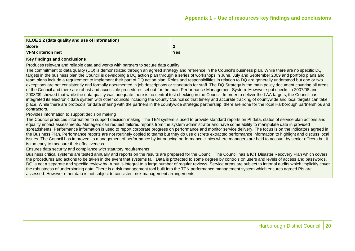| KLOE 2.2 (data quality and use of information) |     |
|------------------------------------------------|-----|
| <b>Score</b>                                   |     |
| <b>VFM criterion met</b>                       | Yes |
|                                                |     |

Produces relevant and reliable data and works with partners to secure data quality

The commitment to data quality (DQ) is demonstrated through an agreed strategy and reference in the Council's business plan. While there are no specific DQ targets in the business plan the Council is developing a DQ action plan through a series of workshops in June, July and September 2009 and portfolio plans and team plans include a requirement to implement their part of DQ action plan. Roles and responsibilities in relation to DQ are generally understood but one or two exceptions are not consistently and formally documented in job descriptions or standards for staff. The DQ Strategy is the main policy document covering all areas of the Council and there are robust and accessible procedures set out for the main Performance Management System. However spot checks in 2007/08 and 2008/09 showed that while the data quality was adequate there is no central test checking in the Council. In order to deliver the LAA targets, the Council has integrated its electronic data system with other councils including the County Council so that timely and accurate tracking of countywide and local targets can take place. While there are protocols for data sharing with the partners in the countywide strategic partnership, there are none for the local Harborough partnerships and contractors.

#### Provides information to support decision making

The Council produces information to support decision making. The TEN system is used to provide standard reports on PI data, status of service plan actions and equality impact assessments. Managers can request tailored reports from the system administrator and have some ability to manipulate data in provided spreadsheets. Performance information is used to report corporate progress on performance and monitor service delivery. The focus is on the indicators agreed in the Business Plan. Performance reports are not routinely copied to teams but they do use discrete extracted performance information to highlight and discuss local issues. The Council has improved its management of performance by introducing performance clinics where managers are held to account by senior officers but it is too early to measure their effectiveness.

#### Ensures data security and compliance with statutory requirements

Business critical systems are tested annually and reports on the results are prepared for the Council. The Council has a ICT Disaster Recovery Plan which covers the procedures and actions to be taken in the event that systems fail. Data is protected to some degree by controls on users and levels of access and passwords. DQ is not a separate and specific review by IA but is integral to a large number of regular reviews. Service areas are subject to internal audits which implicitly cover the robustness of underpinning data. There is a risk management tool built into the TEN performance management system which ensures agreed PIs are assessed. However other data is not subject to consistent risk management arrangements.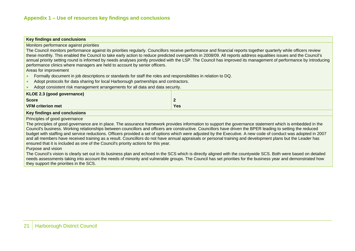Monitors performance against priorities

The Council monitors performance against its priorities regularly. Councillors receive performance and financial reports together quarterly while officers review these monthly. This enabled the Council to take early action to reduce predicted overspends in 2008/09. All reports address equalities issues and the Council's annual priority setting round is informed by needs analyses jointly provided with the LSP. The Council has improved its management of performance by introducing performance clinics where managers are held to account by senior officers.

Areas for improvement

- •Formally document in job descriptions or standards for staff the roles and responsibilities in relation to DQ.
- •Adopt protocols for data sharing for local Harborough partnerships and contractors.
- •Adopt consistent risk management arrangements for all data and data security.

| KLOE 2.3 (good governance) |          |
|----------------------------|----------|
| <b>Score</b>               | - 7<br>- |
| <b>VFM criterion met</b>   | Yes      |
|                            |          |

#### **Key findings and conclusions**

Principles of good governance

The principles of good governance are in place. The assurance framework provides information to support the governance statement which is embedded in the Council's business. Working relationships between councillors and officers are constructive. Councillors have driven the BPER leading to setting the reduced budget with staffing and service reductions. Officers provided a set of options which were adjusted by the Executive. A new code of conduct was adopted in 2007 and all members have received training as a result. Councillors do not have annual appraisals or personal training and development plans but the Leader has ensured that it is included as one of the Council's priority actions for this year.

Purpose and vision

The Council's vision is clearly set out in its business plan and echoed in the SCS which is directly aligned with the countywide SCS. Both were based on detailed needs assessments taking into account the needs of minority and vulnerable groups. The Council has set priorities for the business year and demonstrated how they support the priorities in the SCS.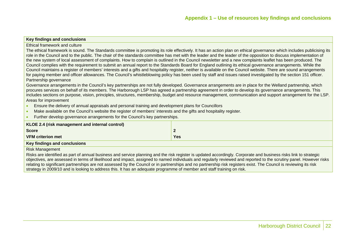#### Ethical framework and culture

The ethical framework is sound. The Standards committee is promoting its role effectively. It has an action plan on ethical governance which includes publicising its role in the Council and to the public. The chair of the standards committee has met with the leader and the leader of the opposition to discuss implementation of the new system of local assessment of complaints. How to complain is outlined in the Council newsletter and a new complaints leaflet has been produced. The Council complies with the requirement to submit an annual report to the Standards Board for England outlining its ethical governance arrangements. While the Council maintains a register of members' interests and a gifts and hospitality register, neither is available on the Council website. There are sound arrangements for paying member and officer allowances. The Council's whistleblowing policy has been used by staff and issues raised investigated by the section 151 officer. Partnership governance

Governance arrangements in the Council's key partnerships are not fully developed. Governance arrangements are in place for the Welland partnership, which procures services on behalf of its members. The Harborough LSP has agreed a partnership agreement in order to develop its governance arrangements. This includes sections on purpose, vision, principles, structures, membership, budget and resource management, communication and support arrangement for the LSP. Areas for improvement

- •Ensure the delivery of annual appraisals and personal training and development plans for Councillors
- •Make available on the Council's website the register of members' interests and the gifts and hospitality register.
- •Further develop governance arrangements for the Council's key partnerships.

| KLOE 2.4 (risk management and internal control) |        |
|-------------------------------------------------|--------|
| <b>Score</b>                                    | G<br>- |
| <b>VFM criterion met</b>                        | Yes    |
|                                                 |        |

#### **Key findings and conclusions**

Risk Management

Risks are identified as part of annual business and service planning and the risk register is updated accordingly. Corporate and business risks link to strategic objectives, are assessed in terms of likelihood and impact, assigned to named individuals and regularly reviewed and reported to the scrutiny panel. However risks relating to significant partnerships are not assessed by the Council or in partnerships and no partnership risk registers exist. The Council is reviewing its risk strategy in 2009/10 and is looking to address this. It has an adequate programme of member and staff training on risk.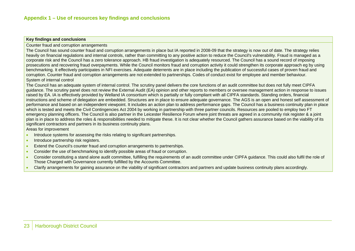Counter fraud and corruption arrangements

The Council has sound counter fraud and corruption arrangements in place but IA reported in 2008-09 that the strategy is now out of date. The strategy relies heavily on financial regulations and internal controls, rather than committing to any positive action to reduce the Council's vulnerability. Fraud is managed as a corporate risk and the Council has a zero tolerance approach. HB fraud investigation is adequately resourced. The Council has a sound record of imposing prosecutions and recovering fraud overpayments. While the Council monitors fraud and corruption activity it could strengthen its corporate approach eg by using benchmarking. It effectively participates in NFI exercises. Adequate deterrents are in place including the publication of successful cases of proven fraud and corruption. Counter fraud and corruption arrangements are not extended to partnerships. Codes of conduct exist for employee and member behaviour. System of internal control

The Council has an adequate system of internal control. The scrutiny panel delivers the core functions of an audit committee but does not fully meet CIPFA guidance. The scrutiny panel does not review the External Audit (EA) opinion and other reports to members or oversee management action in response to issues raised by EA. IA is effectively provided by Welland IA consortium which is partially or fully compliant with all CIPFA standards. Standing orders, financial instructions and scheme of delegation are embedded. Structures are in place to ensure adequate governance. The AGS is an open and honest self assessment of performance and based on an independent viewpoint. It includes an action plan to address performance gaps. The Council has a business continuity plan in place which is tested and meets the Civil Contingencies Act 2004 by working in partnership with three partner councils. Resources are pooled to employ two FT emergency planning officers. The Council is also partner in the Leicester Resilience Forum where joint threats are agreed in a community risk register & a joint plan is in place to address the roles & responsibilities needed to mitigate these. It is not clear whether the Council gathers assurance based on the viability of its significant contractors and partners in its business continuity plans.

Areas for improvement

- •Introduce systems for assessing the risks relating to significant partnerships.
- •Introduce partnership risk registers.
- •Extend the Council's counter fraud and corruption arrangements to partnerships.
- •Consider the use of benchmarking to identify possible areas of fraud or corruption.
- • Consider constituting a stand alone audit committee, fulfilling the requirements of an audit committee under CIPFA guidance. This could also fulfil the role of Those Charged with Governance currently fulfilled by the Accounts Committee.
- •Clarify arrangements for gaining assurance on the viability of significant contractors and partners and update business continuity plans accordingly.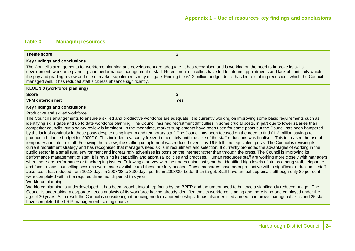# **Table 3 Managing resources**

| Theme score                                                                                                                                                                                                                                                                                                                                                                                                                                                                                                                                                                                                                                                                                                                                                                                                                                                                                                                                                                                                                                                                                                                                                                                                                                                                                                                                                                                                                                                                                                                                                                                                                                                                                                                                                                                                                                                                                                                                                                                                                                                                                                                 | $\mathbf{2}$ |  |  |  |  |  |
|-----------------------------------------------------------------------------------------------------------------------------------------------------------------------------------------------------------------------------------------------------------------------------------------------------------------------------------------------------------------------------------------------------------------------------------------------------------------------------------------------------------------------------------------------------------------------------------------------------------------------------------------------------------------------------------------------------------------------------------------------------------------------------------------------------------------------------------------------------------------------------------------------------------------------------------------------------------------------------------------------------------------------------------------------------------------------------------------------------------------------------------------------------------------------------------------------------------------------------------------------------------------------------------------------------------------------------------------------------------------------------------------------------------------------------------------------------------------------------------------------------------------------------------------------------------------------------------------------------------------------------------------------------------------------------------------------------------------------------------------------------------------------------------------------------------------------------------------------------------------------------------------------------------------------------------------------------------------------------------------------------------------------------------------------------------------------------------------------------------------------------|--------------|--|--|--|--|--|
| Key findings and conclusions                                                                                                                                                                                                                                                                                                                                                                                                                                                                                                                                                                                                                                                                                                                                                                                                                                                                                                                                                                                                                                                                                                                                                                                                                                                                                                                                                                                                                                                                                                                                                                                                                                                                                                                                                                                                                                                                                                                                                                                                                                                                                                |              |  |  |  |  |  |
| The Council's arrangements for workforce planning and development are adequate. It has recognised and is working on the need to improve its skills<br>development, workforce planning, and performance management of staff. Recruitment difficulties have led to interim appointments and lack of continuity which<br>the pay and grading review and use of market supplements may mitigate. Finding the £1.2 million budget deficit has led to staffing reductions which the Council<br>managed well. It has reduced staff sickness absence significantly.                                                                                                                                                                                                                                                                                                                                                                                                                                                                                                                                                                                                                                                                                                                                                                                                                                                                                                                                                                                                                                                                                                                                                                                                                                                                                                                                                                                                                                                                                                                                                                 |              |  |  |  |  |  |
| KLOE 3.3 (workforce planning)                                                                                                                                                                                                                                                                                                                                                                                                                                                                                                                                                                                                                                                                                                                                                                                                                                                                                                                                                                                                                                                                                                                                                                                                                                                                                                                                                                                                                                                                                                                                                                                                                                                                                                                                                                                                                                                                                                                                                                                                                                                                                               |              |  |  |  |  |  |
| <b>Score</b>                                                                                                                                                                                                                                                                                                                                                                                                                                                                                                                                                                                                                                                                                                                                                                                                                                                                                                                                                                                                                                                                                                                                                                                                                                                                                                                                                                                                                                                                                                                                                                                                                                                                                                                                                                                                                                                                                                                                                                                                                                                                                                                | $\mathbf{2}$ |  |  |  |  |  |
| <b>VFM criterion met</b>                                                                                                                                                                                                                                                                                                                                                                                                                                                                                                                                                                                                                                                                                                                                                                                                                                                                                                                                                                                                                                                                                                                                                                                                                                                                                                                                                                                                                                                                                                                                                                                                                                                                                                                                                                                                                                                                                                                                                                                                                                                                                                    | Yes          |  |  |  |  |  |
| Key findings and conclusions                                                                                                                                                                                                                                                                                                                                                                                                                                                                                                                                                                                                                                                                                                                                                                                                                                                                                                                                                                                                                                                                                                                                                                                                                                                                                                                                                                                                                                                                                                                                                                                                                                                                                                                                                                                                                                                                                                                                                                                                                                                                                                |              |  |  |  |  |  |
| Productive and skilled workforce<br>The Council's arrangements to ensure a skilled and productive workforce are adequate. It is currently working on improving some basic requirements such as<br>identifying skills gaps and up to date workforce planning. The Council has had recruitment difficulties in some crucial posts, in part due to lower salaries than<br>competitor councils, but a salary review is imminent. In the meantime, market supplements have been used for some posts but the Council has been hampered<br>by the lack of continuity in these posts despite using interim and temporary staff. The Council has been focused on the need to find £1.2 million savings to<br>produce a balance budget for 2009/10. This included a vacancy freeze immediately until the size of the staff reductions was finalised. This increased the use of<br>temporary and interim staff. Following the review, the staffing complement was reduced overall by 16.5 full time equivalent posts. The Council is revising its<br>current recruitment strategy and has recognised that managers need skills in recruitment and selection. It currently promotes the advantages of working in the<br>public sector in a small rural environment and increasingly advertises its posts on the internet rather than through the press. The Council is improving its<br>performance management of staff. It is revising its capability and appraisal policies and practises. Human resources staff are working more closely with managers<br>when there are performance or timekeeping issues. Following a survey with the trades union last year that identified high levels of stress among staff, telephone<br>and face to face counselling sessions were made available and these are fully booked. These measures have been productive with a significant reduction in staff<br>absence. It has reduced from 10.18 days in 2007/08 to 8.30 days per fte in 2008/09, better than target. Staff have annual appraisals although only 89 per cent<br>were completed within the required three month period this year. |              |  |  |  |  |  |

Workforce planning is underdeveloped. It has been brought into sharp focus by the BPER and the urgent need to balance a significantly reduced budget. The Council is undertaking a corporate needs analysis of its workforce having already identified that its workforce is aging and there is no-one employed under the age of 20 years. As a result the Council is considering introducing modern apprenticeships. It has also identified a need to improve managerial skills and 25 staff have completed the LRIP management training course.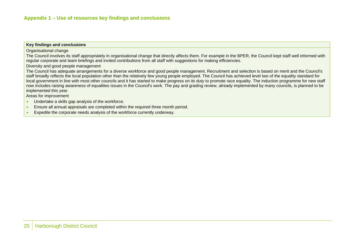#### Organisational change

The Council involves its staff appropriately in organisational change that directly affects them. For example in the BPER, the Council kept staff well informed with regular corporate and team briefings and invited contributions from all staff with suggestions for making efficiencies.

Diversity and good people management

The Council has adequate arrangements for a diverse workforce and good people management. Recruitment and selection is based on merit and the Council's staff broadly reflects the local population other than the relatively few young people employed. The Council has achieved level two of the equality standard for local government in line with most other councils and it has started to make progress on its duty to promote race equality. The induction programme for new staff now includes raising awareness of equalities issues in the Council's work. The pay and grading review, already implemented by many councils, is planned to be implemented this year.

Areas for improvement

- •Undertake a skills gap analysis of the workforce.
- •Ensure all annual appraisals are completed within the required three month period.
- •Expedite the corporate needs analysis of the workforce currently underway.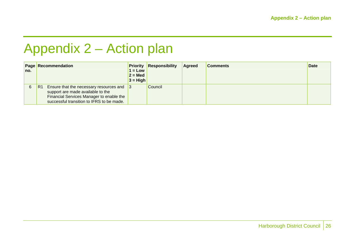# Appendix 2 – Action plan

|     | <b>Page Recommendation</b>                                                                                                                                                        |                        | <b>Priority Responsibility</b> | Agreed | <b>Comments</b> | <b>Date</b> |
|-----|-----------------------------------------------------------------------------------------------------------------------------------------------------------------------------------|------------------------|--------------------------------|--------|-----------------|-------------|
| no. |                                                                                                                                                                                   | $1 = Low$<br>$2 = Med$ |                                |        |                 |             |
|     |                                                                                                                                                                                   | $3 = High$             |                                |        |                 |             |
| 6   | R1<br>Ensure that the necessary resources and $ 3 $<br>support are made available to the<br>Financial Services Manager to enable the<br>successful transition to IFRS to be made. |                        | Council                        |        |                 |             |